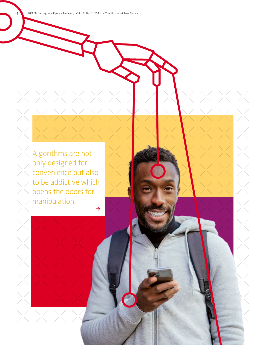46 NIM Marketing Intelligence Review > Vol. 13, No. 1, 2021 > The Illusion of Free Choice

Algorithms are not only designed for convenience but also to be addictive which opens the doors for manipulation.  $\rightarrow$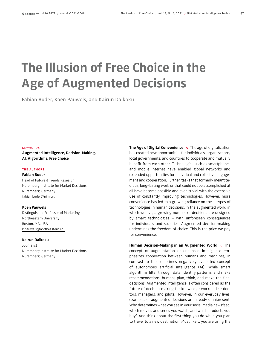# **The Illusion of Free Choice in the Age of Augmented Decisions**

Fabian Buder, Koen Pauwels, and Kairun Daikoku

### KEYWORDS

**Augmented Intelligence, Decision-Making, AI, Algorithms, Free Choice**

### THE AUTHORS

### **Fabian Buder**

Head of Future & Trends Research Nuremberg Institute for Market Decisions Nuremberg, Germany fabian.buder@nim.org

### **Koen Pauwels**

Distinguished Professor of Marketing Northeastern University Boston, MA, USA k.pauwels@northeastern.edu

### **Kairun Daikoku**

Journalist Nuremberg Institute for Market Decisions Nuremberg, Germany

**The Age of Digital Convenience**  $\times$  The age of digitalization has created new opportunities for individuals, organizations, local governments, and countries to cooperate and mutually benefit from each other. Technologies such as smartphones and mobile Internet have enabled global networks and extended opportunities for individual and collective engagement and cooperation. Further, tasks that formerly meant tedious, long-lasting work or that could not be accomplished at all have become possible and even trivial with the extensive use of constantly improving technologies. However, more convenience has led to a growing reliance on these types of technologies in human decisions. In the augmented world in which we live, a growing number of decisions are designed by smart technologies – with unforeseen consequences for individuals and societies. Augmented decision-making undermines the freedom of choice. This is the price we pay for convenience.

**Human Decision-Making in an Augmented World**  $\times$  The concept of augmentation or enhanced intelligence emphasizes cooperation between humans and machines, in contrast to the sometimes negatively evaluated concept of autonomous artificial intelligence (AI). While smart algorithms filter through data, identify patterns, and make recommendations, humans plan, think, and make the final decisions. Augmented intelligence is often considered as the future of decision-making for knowledge workers like doctors, managers, and pilots. However, in our everyday lives, examples of augmented decisions are already omnipresent. Who determines what you see in your social media newsfeed, which movies and series you watch, and which products you buy? And think about the first thing you do when you plan to travel to a new destination. Most likely, you are using the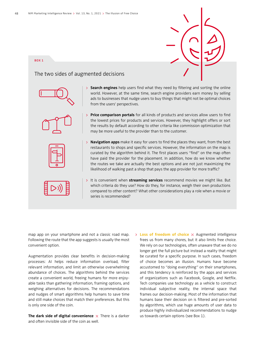### BOX 1

### The two sides of augmented decisions









- **Search engines** help users find what they need by filtering and sorting the online world. However, at the same time, search engine providers earn money by selling ads to businesses that nudge users to buy things that might not be optimal choices from the users' perspectives.
- **Price comparison portals** for all kinds of products and services allow users to find the lowest prices for products and services. However, they highlight offers or sort the results by default according to other criteria like commission optimization that may be more useful to the provider than to the customer.
- **Navigation apps** make it easy for users to find the places they want, from the best restaurants to shops and specific services. However, the information on the map is curated by the algorithm behind it. The first places users "find" on the map often have paid the provider for the placement. In addition, how do we know whether the routes we take are actually the best options and are not just maximizing the likelihood of walking past a shop that pays the app provider for more traffic?
- It is convenient when **streaming services** recommend movies we might like. But which criteria do they use? How do they, for instance, weigh their own productions compared to other content? What other considerations play a role when a movie or series is recommended?

map app on your smartphone and not a classic road map. Following the route that the app suggests is usually the most convenient option.

Augmentation provides clear benefits in decision-making processes: AI helps reduce information overload, filter relevant information, and limit an otherwise overwhelming abundance of choices. The algorithms behind the services create a convenient world, freeing humans for more enjoyable tasks than gathering information, framing options, and weighing alternatives for decisions. The recommendations and nudges of smart algorithms help humans to save time and still make choices that match their preferences. But this is only one side of the coin.

**The dark side of digital convenience**  $\times$  There is a darker and often invisible side of the coin as well.

> Loss of freedom of choice  $\times$  Augmented intelligence frees us from many chores, but it also limits free choice. We rely on our technologies, often unaware that we do no longer get the full picture but instead a reality that might be curated for a specific purpose. In such cases, freedom of choice becomes an illusion. Humans have become accustomed to "doing everything" on their smartphones, and this tendency is reinforced by the apps and services of organizations such as Facebook, Google, and Netflix. Tech companies use technology as a vehicle to construct individual subjective reality, the internal space that frames our decision-making. Most of the information that humans base their decision on is filtered and pre-sorted by algorithms, which use huge amounts of user data to produce highly individualized recommendations to nudge us towards certain options (see Box 1).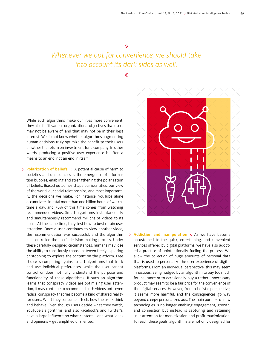## Whenever we opt for convenience, we should take into account its dark sides as well.

 $\overline{\ll}$ 

While such algorithms make our lives more convenient, they also fulfill various organizational objectives that users may not be aware of, and that may not be in their best interest. We do not know whether algorithms augmenting human decisions truly optimize the benefit to their users or rather the return on investment for a company. In other words, producing a positive user experience is often a means to an end, not an end in itself.

**Polarization of beliefs**  $\times$  A potential cause of harm to societies and democracies is the emergence of information bubbles, enabling and strengthening the polarization of beliefs. Biased outcomes shape our identities, our view of the world, our social relationships, and most importantly, the decisions we make. For instance, YouTube alone accumulates in total more than one billion hours of watchtime a day, and 70% of this time comes from watching recommended videos. Smart algorithms instantaneously and simultaneously recommend millions of videos to its users. At the same time, they test how to best retain user attention. Once a user continues to view another video, the recommendation was successful, and the algorithm has controlled the user's decision-making process. Under these carefully designed circumstances, humans may lose the ability to consciously choose between freely exploring or stopping to explore the content on the platform. Free choice is competing against smart algorithms that track and use individual preferences, while the user cannot control or does not fully understand the purpose and functionality of these algorithms. If such an algorithm learns that conspiracy videos are optimizing user attention, it may continue to recommend such videos until even radical conspiracy theories become a kind of shared reality for users. What they consume affects how the users think and behave. Even though users decide what they watch, YouTube's algorithms, and also Facebook's and Twitter's, have a large influence on what content – and what ideas and opinions – get amplified or silenced.



**Addiction and manipulation**  $\times$  As we have become accustomed to the quick, entertaining, and convenient services offered by digital platforms, we have also adopted a practice of unintentionally fueling the process. We allow the collection of huge amounts of personal data that is used to personalize the user experience of digital platforms. From an individual perspective, this may seem innocuous. Being nudged by an algorithm to pay too much for insurance or to occasionally buy a rather unnecessary product may seem to be a fair price for the convenience of the digital services. However, from a holistic perspective, it seems more harmful, and the consequences go way beyond creepy personalized ads. The main purpose of new technologies is no longer enabling engagement, growth, and connection but instead is capturing and retaining user attention for monetization and profit maximization. To reach these goals, algorithms are not only designed for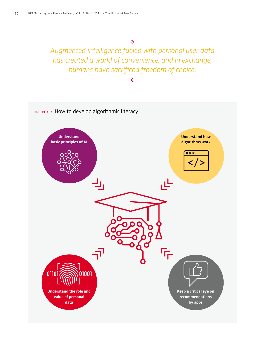$\gg$ 

Augmented intelligence fueled with personal user data has created a world of convenience, and in exchange, humans have sacrificed freedom of choice.

 $\ll$